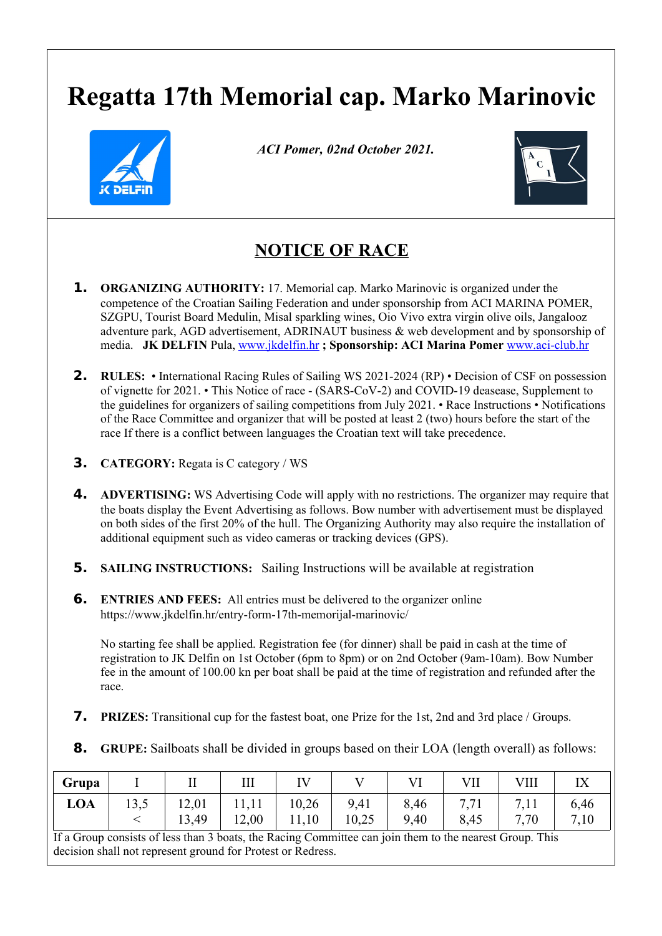## **Regatta 17th Memorial cap. Marko Marinovic**



 *ACI Pomer, 02nd October 2021.*



## **NOTICE OF RACE**

- **1. ORGANIZING AUTHORITY:** 17. Memorial cap. Marko Marinovic is organized under the competence of the Croatian Sailing Federation and under sponsorship from ACI MARINA POMER, SZGPU, Tourist Board Medulin, Misal sparkling wines, Oio Vivo extra virgin olive oils, Jangalooz adventure park, AGD advertisement, ADRINAUT business & web development and by sponsorship of media. **JK DELFIN** Pula, [www.jkdelfin.hr](http://www.jkdelfin.hr/) **; Sponsorship: ACI Marina Pomer** [www.aci-club.hr](http://www.aci-club.hr/)
- **2. RULES:** International Racing Rules of Sailing WS 2021-2024 (RP) Decision of CSF on possession of vignette for 2021. • This Notice of race - (SARS-CoV-2) and COVID-19 deasease, Supplement to the guidelines for organizers of sailing competitions from July 2021. • Race Instructions • Notifications of the Race Committee and organizer that will be posted at least 2 (two) hours before the start of the race If there is a conflict between languages the Croatian text will take precedence.
- **3. CATEGORY:** Regata is C category / WS
- **4. ADVERTISING:** WS Advertising Code will apply with no restrictions. The organizer may require that the boats display the Event Advertising as follows. Bow number with advertisement must be displayed on both sides of the first 20% of the hull. The Organizing Authority may also require the installation of additional equipment such as video cameras or tracking devices (GPS).
- **5. SAILING INSTRUCTIONS:** Sailing Instructions will be available at registration
- **6. ENTRIES AND FEES:** All entries must be delivered to the organizer online https://www.jkdelfin.hr/entry-form-17th-memorijal-marinovic/

No starting fee shall be applied. Registration fee (for dinner) shall be paid in cash at the time of registration to JK Delfin on 1st October (6pm to 8pm) or on 2nd October (9am-10am). Bow Number fee in the amount of 100.00 kn per boat shall be paid at the time of registration and refunded after the race.

- **7. PRIZES:** Transitional cup for the fastest boat, one Prize for the 1st, 2nd and 3rd place / Groups.
- **8. GRUPE:** Sailboats shall be divided in groups based on their LOA (length overall) as follows:

| Grupa                                                                                                  |  |       |       |       |       |      |      |      |      |
|--------------------------------------------------------------------------------------------------------|--|-------|-------|-------|-------|------|------|------|------|
| LOA                                                                                                    |  | 12,01 |       | 10,26 | 9,41  | 8,46 |      |      | 6,46 |
|                                                                                                        |  | 13,49 | 12,00 | 11,10 | 10,25 | 9,40 | 8,45 | 7.70 | 7,10 |
| If a Group consists of less than 3 hoats the Racing Committee can join them to the nearest Group. This |  |       |       |       |       |      |      |      |      |

ommittee can join them to the nearest decision shall not represent ground for Protest or Redress.